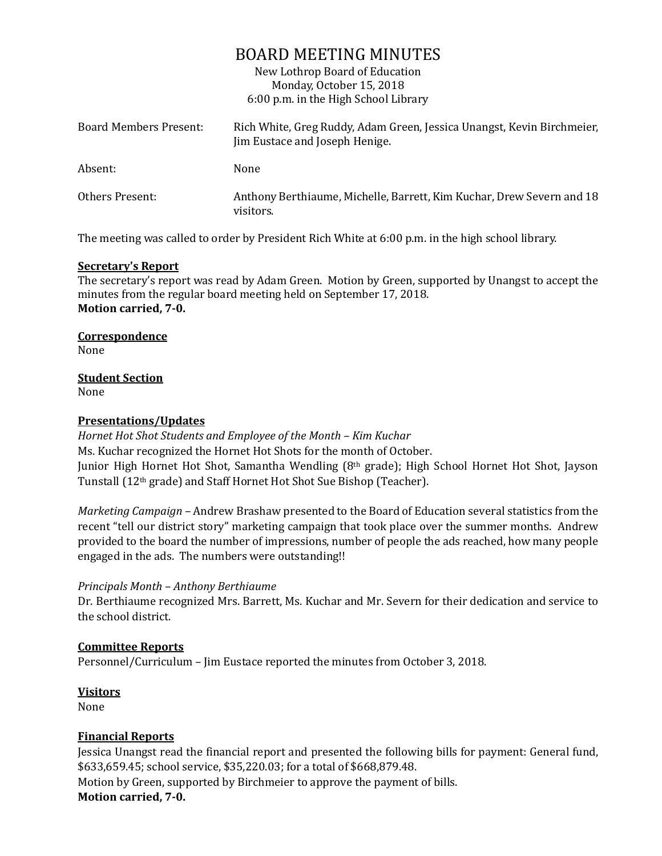# BOARD MEETING MINUTES

New Lothrop Board of Education Monday, October 15, 2018 6:00 p.m. in the High School Library

| Board Members Present: | Rich White, Greg Ruddy, Adam Green, Jessica Unangst, Kevin Birchmeier,<br>Jim Eustace and Joseph Henige. |
|------------------------|----------------------------------------------------------------------------------------------------------|
| Absent:                | None                                                                                                     |
| Others Present:        | Anthony Berthiaume, Michelle, Barrett, Kim Kuchar, Drew Severn and 18<br>visitors.                       |

The meeting was called to order by President Rich White at 6:00 p.m. in the high school library.

## **Secretary's Report**

The secretary's report was read by Adam Green. Motion by Green, supported by Unangst to accept the minutes from the regular board meeting held on September 17, 2018. **Motion carried, 7-0.**

**Correspondence** None

**Student Section**

None

## **Presentations/Updates**

*Hornet Hot Shot Students and Employee of the Month – Kim Kuchar* Ms. Kuchar recognized the Hornet Hot Shots for the month of October. Junior High Hornet Hot Shot, Samantha Wendling (8th grade); High School Hornet Hot Shot, Jayson Tunstall (12th grade) and Staff Hornet Hot Shot Sue Bishop (Teacher).

*Marketing Campaign –* Andrew Brashaw presented to the Board of Education several statistics from the recent "tell our district story" marketing campaign that took place over the summer months. Andrew provided to the board the number of impressions, number of people the ads reached, how many people engaged in the ads. The numbers were outstanding!!

## *Principals Month – Anthony Berthiaume*

Dr. Berthiaume recognized Mrs. Barrett, Ms. Kuchar and Mr. Severn for their dedication and service to the school district.

## **Committee Reports**

Personnel/Curriculum – Jim Eustace reported the minutes from October 3, 2018.

## **Visitors**

None

## **Financial Reports**

Jessica Unangst read the financial report and presented the following bills for payment: General fund, \$633,659.45; school service, \$35,220.03; for a total of \$668,879.48. Motion by Green, supported by Birchmeier to approve the payment of bills. **Motion carried, 7-0.**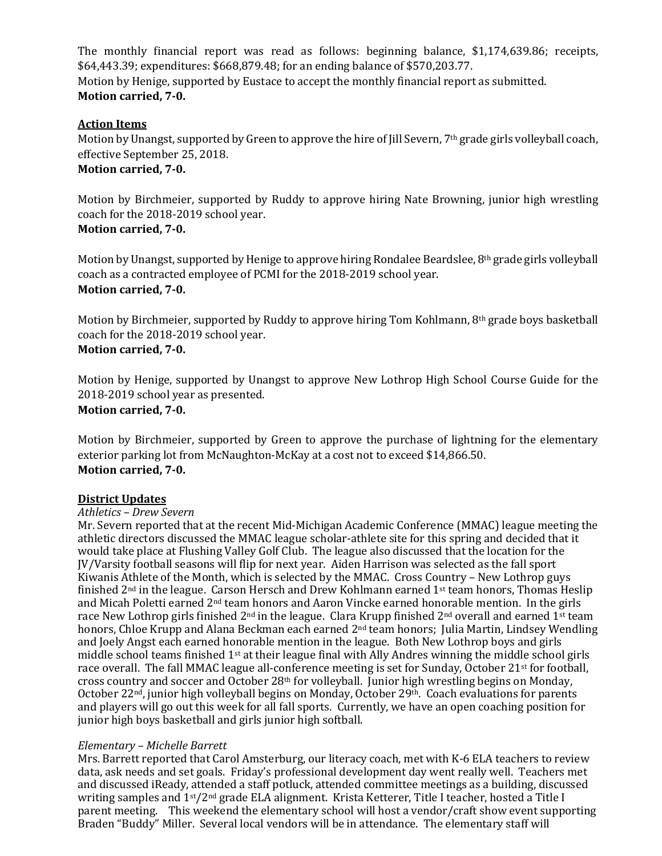The monthly financial report was read as follows: beginning balance, \$1,174,639.86; receipts, \$64,443.39; expenditures: \$668,879.48; for an ending balance of \$570,203.77. Motion by Henige, supported by Eustace to accept the monthly financial report as submitted. **Motion carried, 7-0.**

## **Action Items**

Motion by Unangst, supported by Green to approve the hire of Jill Severn, 7<sup>th</sup> grade girls volleyball coach, effective September 25, 2018.

## **Motion carried, 7-0.**

Motion by Birchmeier, supported by Ruddy to approve hiring Nate Browning, junior high wrestling coach for the 2018-2019 school year. **Motion carried, 7-0.**

Motion by Unangst, supported by Henige to approve hiring Rondalee Beardslee, 8th grade girls volleyball coach as a contracted employee of PCMI for the 2018-2019 school year. **Motion carried, 7-0.**

Motion by Birchmeier, supported by Ruddy to approve hiring Tom Kohlmann, 8th grade boys basketball coach for the 2018-2019 school year. **Motion carried, 7-0.**

Motion by Henige, supported by Unangst to approve New Lothrop High School Course Guide for the 2018-2019 school year as presented.

## **Motion carried, 7-0.**

Motion by Birchmeier, supported by Green to approve the purchase of lightning for the elementary exterior parking lot from McNaughton-McKay at a cost not to exceed \$14,866.50. **Motion carried, 7-0.**

## **District Updates**

## *Athletics – Drew Severn*

Mr. Severn reported that at the recent Mid-Michigan Academic Conference (MMAC) league meeting the athletic directors discussed the MMAC league scholar-athlete site for this spring and decided that it would take place at Flushing Valley Golf Club. The league also discussed that the location for the JV/Varsity football seasons will flip for next year. Aiden Harrison was selected as the fall sport Kiwanis Athlete of the Month, which is selected by the MMAC. Cross Country – New Lothrop guys finished  $2<sup>nd</sup>$  in the league. Carson Hersch and Drew Kohlmann earned  $1<sup>st</sup>$  team honors. Thomas Heslip and Micah Poletti earned 2nd team honors and Aaron Vincke earned honorable mention. In the girls race New Lothrop girls finished 2<sup>nd</sup> in the league. Clara Krupp finished 2<sup>nd</sup> overall and earned 1<sup>st</sup> team honors, Chloe Krupp and Alana Beckman each earned 2<sup>nd</sup> team honors; Julia Martin, Lindsey Wendling and Joely Angst each earned honorable mention in the league. Both New Lothrop boys and girls middle school teams finished 1st at their league final with Ally Andres winning the middle school girls race overall. The fall MMAC league all-conference meeting is set for Sunday, October 21<sup>st</sup> for football, cross country and soccer and October 28th for volleyball. Junior high wrestling begins on Monday, October 22nd, junior high volleyball begins on Monday, October 29th. Coach evaluations for parents and players will go out this week for all fall sports. Currently, we have an open coaching position for junior high boys basketball and girls junior high softball.

## *Elementary – Michelle Barrett*

Mrs. Barrett reported that Carol Amsterburg, our literacy coach, met with K-6 ELA teachers to review data, ask needs and set goals. Friday's professional development day went really well. Teachers met and discussed iReady, attended a staff potluck, attended committee meetings as a building, discussed writing samples and 1st/2nd grade ELA alignment. Krista Ketterer, Title I teacher, hosted a Title I parent meeting. This weekend the elementary school will host a vendor/craft show event supporting Braden "Buddy" Miller. Several local vendors will be in attendance. The elementary staff will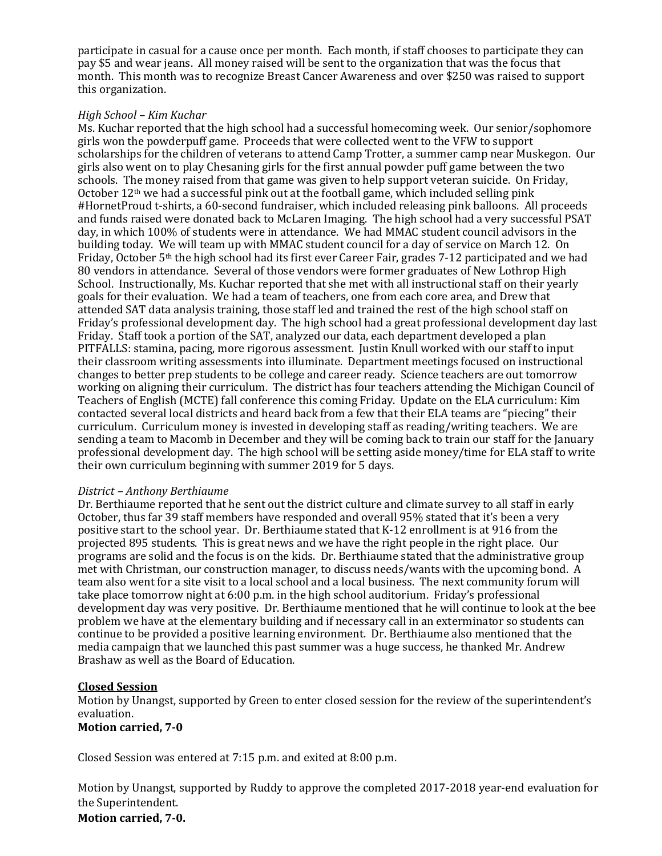participate in casual for a cause once per month. Each month, if staff chooses to participate they can pay \$5 and wear jeans. All money raised will be sent to the organization that was the focus that month. This month was to recognize Breast Cancer Awareness and over \$250 was raised to support this organization.

#### *High School – Kim Kuchar*

Ms. Kuchar reported that the high school had a successful homecoming week. Our senior/sophomore girls won the powderpuff game. Proceeds that were collected went to the VFW to support scholarships for the children of veterans to attend Camp Trotter, a summer camp near Muskegon. Our girls also went on to play Chesaning girls for the first annual powder puff game between the two schools. The money raised from that game was given to help support veteran suicide. On Friday, October 12th we had a successful pink out at the football game, which included selling pink #HornetProud t-shirts, a 60-second fundraiser, which included releasing pink balloons. All proceeds and funds raised were donated back to McLaren Imaging. The high school had a very successful PSAT day, in which 100% of students were in attendance. We had MMAC student council advisors in the building today. We will team up with MMAC student council for a day of service on March 12. On Friday, October 5th the high school had its first ever Career Fair, grades 7-12 participated and we had 80 vendors in attendance. Several of those vendors were former graduates of New Lothrop High School. Instructionally, Ms. Kuchar reported that she met with all instructional staff on their yearly goals for their evaluation. We had a team of teachers, one from each core area, and Drew that attended SAT data analysis training, those staff led and trained the rest of the high school staff on Friday's professional development day. The high school had a great professional development day last Friday. Staff took a portion of the SAT, analyzed our data, each department developed a plan PITFALLS: stamina, pacing, more rigorous assessment. Justin Knull worked with our staff to input their classroom writing assessments into illuminate. Department meetings focused on instructional changes to better prep students to be college and career ready. Science teachers are out tomorrow working on aligning their curriculum. The district has four teachers attending the Michigan Council of Teachers of English (MCTE) fall conference this coming Friday. Update on the ELA curriculum: Kim contacted several local districts and heard back from a few that their ELA teams are "piecing" their curriculum. Curriculum money is invested in developing staff as reading/writing teachers. We are sending a team to Macomb in December and they will be coming back to train our staff for the January professional development day. The high school will be setting aside money/time for ELA staff to write their own curriculum beginning with summer 2019 for 5 days.

### *District – Anthony Berthiaume*

Dr. Berthiaume reported that he sent out the district culture and climate survey to all staff in early October, thus far 39 staff members have responded and overall 95% stated that it's been a very positive start to the school year. Dr. Berthiaume stated that K-12 enrollment is at 916 from the projected 895 students. This is great news and we have the right people in the right place. Our programs are solid and the focus is on the kids. Dr. Berthiaume stated that the administrative group met with Christman, our construction manager, to discuss needs/wants with the upcoming bond. A team also went for a site visit to a local school and a local business. The next community forum will take place tomorrow night at 6:00 p.m. in the high school auditorium. Friday's professional development day was very positive. Dr. Berthiaume mentioned that he will continue to look at the bee problem we have at the elementary building and if necessary call in an exterminator so students can continue to be provided a positive learning environment. Dr. Berthiaume also mentioned that the media campaign that we launched this past summer was a huge success, he thanked Mr. Andrew Brashaw as well as the Board of Education.

## **Closed Session**

Motion by Unangst, supported by Green to enter closed session for the review of the superintendent's evaluation.

#### **Motion carried, 7-0**

Closed Session was entered at 7:15 p.m. and exited at 8:00 p.m.

Motion by Unangst, supported by Ruddy to approve the completed 2017-2018 year-end evaluation for the Superintendent.

## **Motion carried, 7-0.**